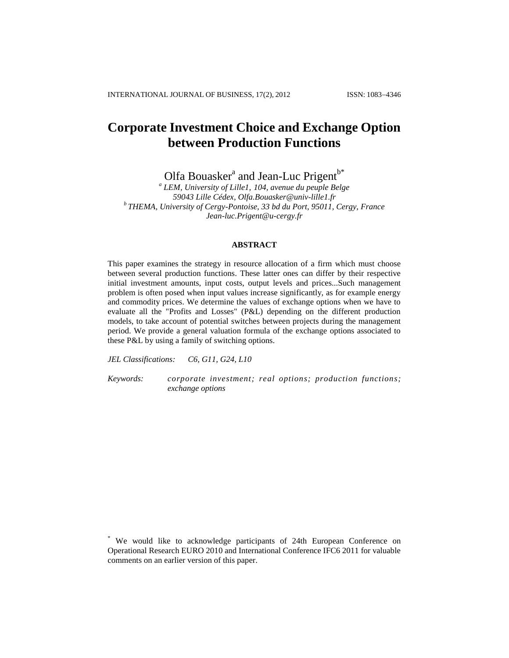# **Corporate Investment Choice and Exchange Option between Production Functions**

Olfa Bouasker<sup>a</sup> and Jean-Luc Prigent<sup>b\*</sup>

*a LEM, University of Lille1, 104, avenue du peuple Belge 59043 Lille Cédex, Olfa.Bouasker@univ-lille1.fr b THEMA, University of Cergy-Pontoise, 33 bd du Port, 95011, Cergy, France Jean-luc.Prigent@u-cergy.fr*

## **ABSTRACT**

This paper examines the strategy in resource allocation of a firm which must choose between several production functions. These latter ones can differ by their respective initial investment amounts, input costs, output levels and prices...Such management problem is often posed when input values increase significantly, as for example energy and commodity prices. We determine the values of exchange options when we have to evaluate all the "Profits and Losses" (P&L) depending on the different production models, to take account of potential switches between projects during the management period. We provide a general valuation formula of the exchange options associated to these P&L by using a family of switching options.

*JEL Classifications: C6, G11, G24, L10*

*Keywords: corporate investment; real options; production functions; exchange options*

\* We would like to acknowledge participants of 24th European Conference on Operational Research EURO 2010 and International Conference IFC6 2011 for valuable comments on an earlier version of this paper.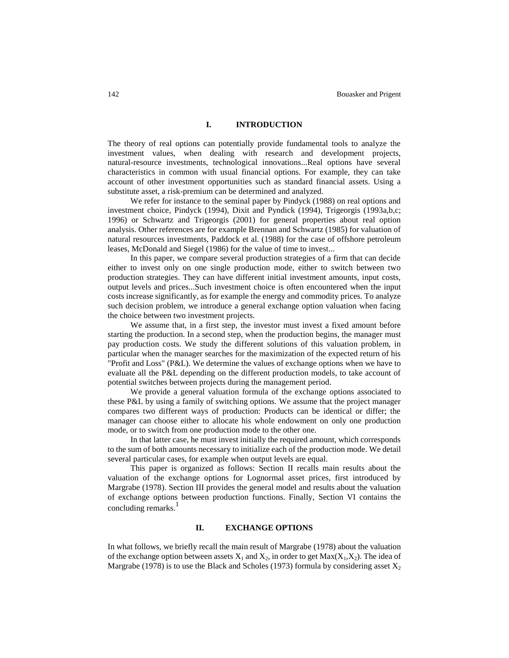## **I. INTRODUCTION**

The theory of real options can potentially provide fundamental tools to analyze the investment values, when dealing with research and development projects, natural-resource investments, technological innovations...Real options have several characteristics in common with usual financial options. For example, they can take account of other investment opportunities such as standard financial assets. Using a substitute asset, a risk-premium can be determined and analyzed.

We refer for instance to the seminal paper by Pindyck (1988) on real options and investment choice, Pindyck (1994), Dixit and Pyndick (1994), Trigeorgis (1993a,b,c; 1996) or Schwartz and Trigeorgis (2001) for general properties about real option analysis. Other references are for example Brennan and Schwartz (1985) for valuation of natural resources investments, Paddock et al. (1988) for the case of offshore petroleum leases, McDonald and Siegel (1986) for the value of time to invest...

In this paper, we compare several production strategies of a firm that can decide either to invest only on one single production mode, either to switch between two production strategies. They can have different initial investment amounts, input costs, output levels and prices...Such investment choice is often encountered when the input costs increase significantly, as for example the energy and commodity prices. To analyze such decision problem, we introduce a general exchange option valuation when facing the choice between two investment projects.

We assume that, in a first step, the investor must invest a fixed amount before starting the production. In a second step, when the production begins, the manager must pay production costs. We study the different solutions of this valuation problem, in particular when the manager searches for the maximization of the expected return of his "Profit and Loss" (P&L). We determine the values of exchange options when we have to evaluate all the P&L depending on the different production models, to take account of potential switches between projects during the management period.

We provide a general valuation formula of the exchange options associated to these P&L by using a family of switching options. We assume that the project manager compares two different ways of production: Products can be identical or differ; the manager can choose either to allocate his whole endowment on only one production mode, or to switch from one production mode to the other one.

In that latter case, he must invest initially the required amount, which corresponds to the sum of both amounts necessary to initialize each of the production mode. We detail several particular cases, for example when output levels are equal.

This paper is organized as follows: Section II recalls main results about the valuation of the exchange options for Lognormal asset prices, first introduced by Margrabe (1978). Section III provides the general model and results about the valuation of exchange options between production functions. Finally, Section VI contains the concluding remarks. 1

### **II. EXCHANGE OPTIONS**

In what follows, we briefly recall the main result of Margrabe (1978) about the valuation of the exchange option between assets  $X_1$  and  $X_2$ , in order to get  $Max(X_1,X_2)$ . The idea of Margrabe (1978) is to use the Black and Scholes (1973) formula by considering asset  $X_2$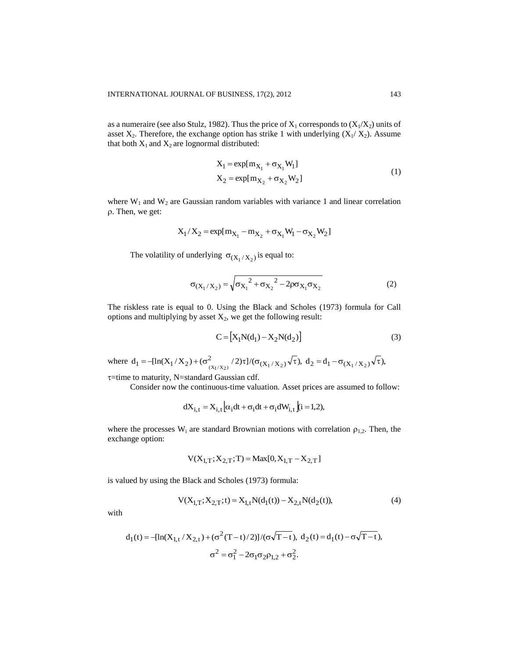as a numeraire (see also Stulz, 1982). Thus the price of  $X_1$  corresponds to  $(X_1/X_2)$  units of asset  $X_2$ . Therefore, the exchange option has strike 1 with underlying  $(X_1/X_2)$ . Assume that both  $X_1$  and  $X_2$  are lognormal distributed:

$$
X_1 = \exp[m_{X_1} + \sigma_{X_1} W_1] X_2 = \exp[m_{X_2} + \sigma_{X_2} W_2]
$$
 (1)

where  $W_1$  and  $W_2$  are Gaussian random variables with variance 1 and linear correlation . Then, we get:

$$
X_1/X_2 = exp[m_{X_1} - m_{X_2} + \sigma_{X_1}W_1 - \sigma_{X_2}W_2]
$$

The volatility of underlying  $\sigma_{(X_1/X_2)}$  is equal to:

$$
\sigma_{(X_1/X_2)} = \sqrt{\sigma_{X_1}^2 + \sigma_{X_2}^2 - 2\rho\sigma_{X_1}\sigma_{X_2}}
$$
 (2)

The riskless rate is equal to 0. Using the Black and Scholes (1973) formula for Call options and multiplying by asset  $X_2$ , we get the following result:

$$
C = [X_1 N(d_1) - X_2 N(d_2)]
$$
 (3)

where  $d_1 = -[\ln(X_1/X_2) + (\sigma_{(X_1/X_2)}^2 / 2)\tau]/(\sigma_{(X_1/X_2)}\sqrt{\tau}), d_2 = d_1 - \sigma_{(X_1/X_2)}\sqrt{\tau}),$ 

 $\tau$ =time to maturity, N=standard Gaussian cdf.

Consider now the continuous-time valuation. Asset prices are assumed to follow:

$$
dX_{i,t} = X_{i,t} \left[ \alpha_i dt + \sigma_i dt + \sigma_i dW_{i,t} \right] (i = 1,2),
$$

where the processes  $W_i$  are standard Brownian motions with correlation  $\rho_{1,2}$ . Then, the exchange option:

$$
V(X_{1,T}; X_{2,T}; T) = Max[0, X_{1,T} - X_{2,T}]
$$

is valued by using the Black and Scholes (1973) formula:

$$
V(X_{1,T}; X_{2,T}; t) = X_{1,t} N(d_1(t)) - X_{2,t} N(d_2(t)),
$$
\n(4)

with

$$
d_1(t) = -[\ln(X_{1,t} / X_{2,t}) + (\sigma^2 (T - t) / 2)] / (\sigma \sqrt{T - t}), d_2(t) = d_1(t) - \sigma \sqrt{T - t}),
$$
  

$$
\sigma^2 = \sigma_1^2 - 2\sigma_1 \sigma_2 \rho_{1,2} + \sigma_2^2.
$$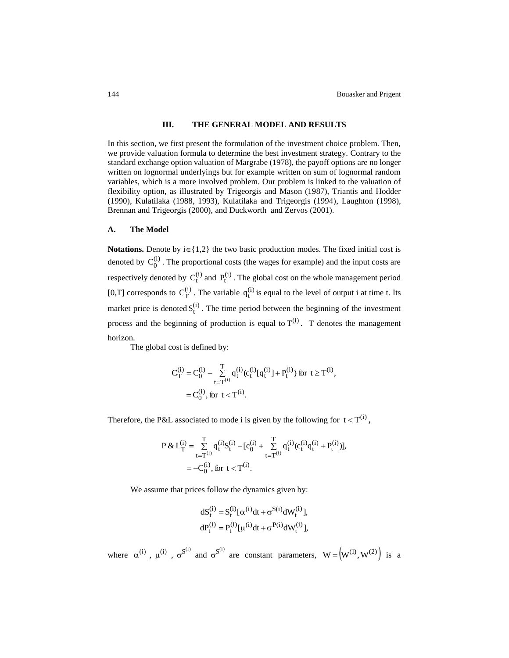## **III. THE GENERAL MODEL AND RESULTS**

In this section, we first present the formulation of the investment choice problem. Then, we provide valuation formula to determine the best investment strategy. Contrary to the standard exchange option valuation of Margrabe (1978), the payoff options are no longer written on lognormal underlyings but for example written on sum of lognormal random variables, which is a more involved problem. Our problem is linked to the valuation of flexibility option, as illustrated by Trigeorgis and Mason (1987), Triantis and Hodder (1990), Kulatilaka (1988, 1993), Kulatilaka and Trigeorgis (1994), Laughton (1998), Brennan and Trigeorgis (2000), and Duckworth and Zervos (2001).

#### **A. The Model**

**Notations.** Denote by  $i \in \{1,2\}$  the two basic production modes. The fixed initial cost is denoted by  $C_0^{(i)}$ . The proportional costs (the wages for example) and the input costs are respectively denoted by  $C_t^{(i)}$  and  $P_t^{(i)}$ . The global cost on the whole management period [0,T] corresponds to  $C_T^{(i)}$ . The variable  $q_t^{(i)}$  is equal to the level of output i at time t. Its market price is denoted  $S_t^{(i)}$ . The time period between the beginning of the investment process and the beginning of production is equal to  $T^{(i)}$ . T denotes the management horizon.

The global cost is defined by:

$$
\begin{aligned} C_T^{(i)} = C_0^{(i)} + \sum_{t=T^{(i)}}^T q_t^{(i)} (c_t^{(i)} [q_t^{(i)}] + P_t^{(i)}) \text{ for } t \ge T^{(i)}, \\ = C_0^{(i)}, \text{ for } t < T^{(i)}. \end{aligned}
$$

Therefore, the P&L associated to mode i is given by the following for  $t < T^{(i)}$ ,

$$
\begin{aligned} P\,\&\,L^{(i)}_T = \mathop{\textstyle \sum}_{t=T^{(i)}}^T q^{(i)}_t S^{(i)}_t - [c^{(i)}_0 + \mathop{\textstyle \sum}_{t=T^{(i)}}^T q^{(i)}_t (c^{(i)}_t q^{(i)}_t + P^{(i)}_t)],\\ = -C^{(i)}_0, \, \text{for}\, \, t < T^{(i)}. \end{aligned}
$$

We assume that prices follow the dynamics given by:

$$
dS_t^{(i)} = S_t^{(i)}[\alpha^{(i)}dt + \sigma^{S(i)}dW_t^{(i)}],
$$
  
\n
$$
dP_t^{(i)} = P_t^{(i)}[\mu^{(i)}dt + \sigma^{P(i)}dW_t^{(i)}],
$$

where  $\alpha^{(i)}$ ,  $\mu^{(i)}$ ,  $\sigma^{S^{(i)}}$  and  $\sigma^{S^{(i)}}$  are constant parameters,  $W = (W^{(1)}, W^{(2)})$  is a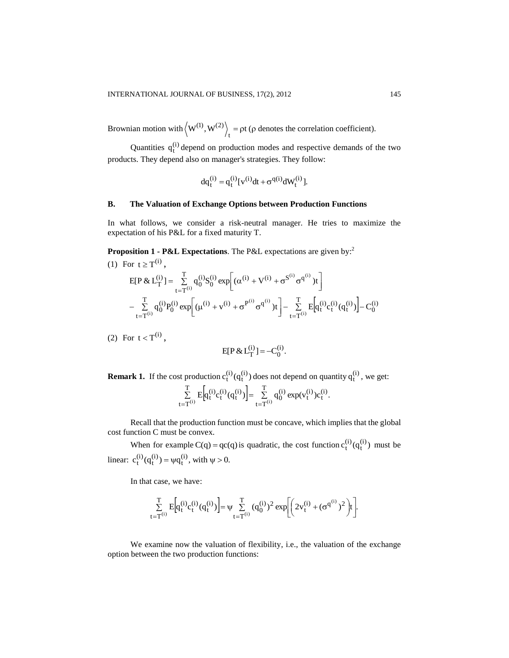Brownian motion with  $\langle W^{(1)}, W^{(2)} \rangle_t = \rho t$  $\langle 0, W^{(2)} \rangle$  = pt ( $\rho$  denotes the correlation coefficient).

Quantities  $q_t^{(i)}$  depend on production modes and respective demands of the two products. They depend also on manager's strategies. They follow:

$$
dq_t^{(i)} = q_t^{(i)} [v^{(i)} dt + \sigma^{q(i)} dW_t^{(i)}].
$$

#### **B. The Valuation of Exchange Options between Production Functions**

In what follows, we consider a risk-neutral manager. He tries to maximize the expectation of his P&L for a fixed maturity T.

**Proposition 1 - P&L Expectations**. The P&L expectations are given by: 2 (1) For  $t \ge T^{(i)}$ ,

$$
\begin{aligned} & E[P\ \&\ L^{(i)}_T] = \sum_{t=T^{(i)}}^T q_0^{(i)} S_0^{(i)} \exp\biggl[ (\alpha^{(i)} + V^{(i)} + \sigma^{S^{(i)}} \sigma^{q^{(i)}}) t \biggr] \\ & - \sum_{t=T^{(i)}}^T q_0^{(i)} P_0^{(i)} \exp\biggl[ (\mu^{(i)} + v^{(i)} + \sigma^{P^{(i)}} \sigma^{q^{(i)}}) t \biggr] - \sum_{t=T^{(i)}}^T E\biggl[q_t^{(i)} c_t^{(i)} (q_t^{(i)}) \biggr] - C_0^{(i)} \end{aligned}
$$

(2) For  $t < T^{(i)}$ ,

$$
E[P \& L_T^{(i)}] = -C_0^{(i)}.
$$

**Remark 1.** If the cost production  $c_t^{(i)}(q_t^{(i)})$  does not depend on quantity  $q_t^{(i)}$ , we get:  $E\left[q_t^{(i)}c_t^{(i)}(q_t^{(i)})\right] = \sum_{k=1}^{L} q_0^{(i)} \exp(v_t^{(i)})c_t^{(i)}.$ T  $t = T$ (i) 0 T  $t = T$  $\sum_{t=T}^{T} E\left[q_t^{(i)} c_t^{(i)} (q_t^{(i)})\right] = \sum_{t=T}^{T}$  $=T^{(1)}$   $t=$ 

Recall that the production function must be concave, which implies that the global cost function C must be convex.

When for example C(q) = qc(q) is quadratic, the cost function  $c_t^{(i)}(q_t^{(i)})$  must be linear:  $c_t^{(i)}(q_t^{(i)}) = \psi q_t^{(i)}$ , with  $\psi > 0$ .

In that case, we have:

$$
\sum_{t=T^{(i)}}^{T} E\left[q_t^{(i)}c_t^{(i)}(q_t^{(i)})\right] = \psi \sum_{t=T^{(i)}}^{T} (q_0^{(i)})^2 \exp\left[\left(2v_t^{(i)} + (\sigma^{q^{(i)}})^2\right)t\right].
$$

We examine now the valuation of flexibility, i.e., the valuation of the exchange option between the two production functions: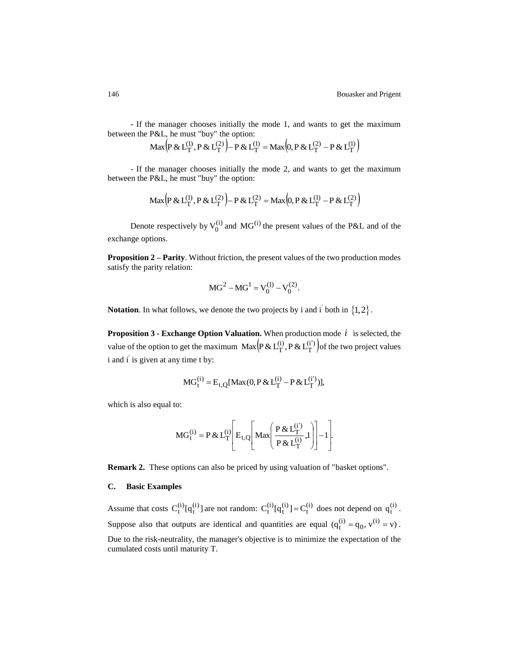- If the manager chooses initially the mode 1, and wants to get the maximum between the P&L, he must "buy" the option:

$$
\operatorname{Max}\left(P \& L_T^{(1)}, P \& L_T^{(2)}\right) - P \& L_T^{(1)} = \operatorname{Max}\left(0, P \& L_T^{(2)} - P \& L_T^{(1)}\right)
$$

- If the manager chooses initially the mode 2, and wants to get the maximum between the P&L, he must "buy" the option:

$$
Max (P & L_T^{(1)}, P & L_T^{(2)}) - P & L_T^{(2)} = Max (0, P & L_T^{(1)} - P & L_T^{(2)})
$$

Denote respectively by  $V_0^{(i)}$  and  $MG^{(i)}$  the present values of the P&L and of the exchange options.

**Proposition 2 – Parity**. Without friction, the present values of the two production modes satisfy the parity relation:

$$
MG^2 - MG^1 = V_0^{(1)} - V_0^{(2)}.
$$

**Notation**. In what follows, we denote the two projects by i and i<sup>'</sup> both in  $\{1, 2\}$ .

**Proposition 3 - Exchange Option Valuation.** When production mode  $i$  is selected, the value of the option to get the maximum  $\text{Max}(\text{P} \& \text{L}_\text{T}^{(i)}, \text{P} \& \text{L}_\text{T}^{(i')})$ T  $\text{Max}\left(\text{P} \& \text{L}_\text{T}^{(i)}, \text{P} \& \text{L}_\text{T}^{(i')} \right)$ of the two project values i and i' is given at any time t by:

$$
MG_t^{(i)} = E_{t,Q}[Max(0, P & L_T^{(i)} - P & L_T^{(i')})],
$$

which is also equal to:

$$
MG_t^{(i)} = P \& L_T^{(i)} \left[ E_{t,Q} \left[ Max \left( \frac{P \& L_T^{(i')}}{P \& L_T^{(i)}} , 1 \right) \right] - 1 \right].
$$

**Remark 2.** These options can also be priced by using valuation of "basket options".

## **C. Basic Examples**

Assume that costs  $C_t^{(i)}[q_t^{(i)}]$  are not random:  $C_t^{(i)}[q_t^{(i)}] = C_t^{(i)}$  does not depend on  $q_t^{(i)}$ . Suppose also that outputs are identical and quantities are equal  $(q_t^{(i)} = q_0, v^{(i)} = v)$ . Due to the risk-neutrality, the manager's objective is to minimize the expectation of the cumulated costs until maturity T.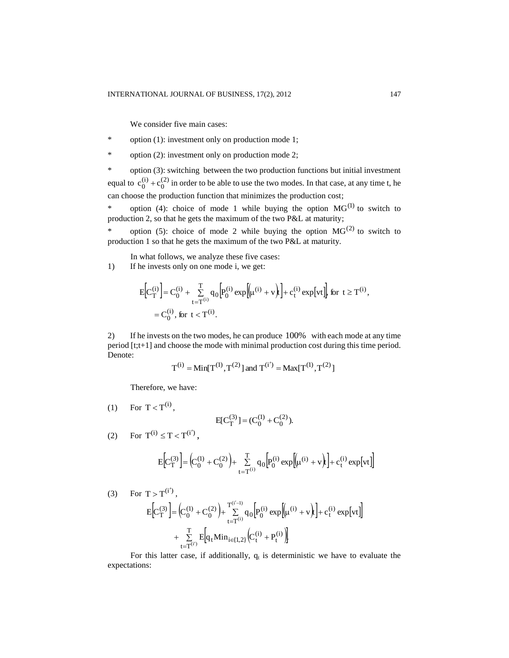We consider five main cases:

\* option (1): investment only on production mode 1;

\* option (2): investment only on production mode 2;

\* option (3): switching between the two production functions but initial investment equal to  $c_0^{(i)} + c_0^{(2)}$ 0 (i)  $c_0^{(1)} + c_0^{(2)}$  in order to be able to use the two modes. In that case, at any time t, he can choose the production function that minimizes the production cost;

\* option (4): choice of mode 1 while buying the option  $MG^{(1)}$  to switch to production 2, so that he gets the maximum of the two P&L at maturity;

\* option (5): choice of mode 2 while buying the option  $MG<sup>(2)</sup>$  to switch to production 1 so that he gets the maximum of the two P&L at maturity.

In what follows, we analyze these five cases:

1) If he invests only on one mode i, we get:

$$
\begin{split} E\Big[ C_T^{(i)} \Big] & = C_0^{(i)} + \sum_{t=T^{(i)}}^T q_0 \Big[ P_0^{(i)} \exp\Big[ \mu^{(i)} + v \Big) t \Big] + c_t^{(i)} \exp\big[ vt \big] \Big] \; \text{for} \; \; t \geq T^{(i)} , \\ & = C_0^{(i)} \, , \; \text{for} \; \; t < T^{(i)} . \end{split}
$$

2) If he invests on the two modes, he can produce 100% with each mode at any time period [t;t+1] and choose the mode with minimal production cost during this time period. Denote:

$$
T^{(i)} = Min[T^{(1)}, T^{(2)}]
$$
 and  $T^{(i')} = Max[T^{(1)}, T^{(2)}]$ 

Therefore, we have:

$$
(1) \quad \text{For } T < T^{(i)},
$$

$$
E[C_T^{(3)}] = (C_0^{(1)} + C_0^{(2)}).
$$

(2) For  $T^{(i)} \le T < T^{(i')}$ ,

$$
E\!\!\left[\!C^{(3)}_T\right]\!\!=\!\Big(\!\!C^{(1)}_0+C^{(2)}_0\Big)\!\!+\!\sum_{t=T^{(i)}}^Tq_0\!\left[\!P^{(i)}_0\exp\!\!\left[\!\!\left(\!\mu^{(i)}+v\!\right)\!\!\right]\!\!\right]\!\!+c^{(i)}_t\exp\!\left[\!v t\!\right]\!\!\Big]
$$

(3) For 
$$
T > T^{(i')}
$$
,  
\n
$$
E\left[C_T^{(3)}\right] = \left(C_0^{(1)} + C_0^{(2)}\right) + \sum_{t=T^{(i)}}^{T^{(i'-1)}} q_0 \left[P_0^{(i)} \exp\left[\mu^{(i)} + v\right)\right] + c_t^{(i)} \exp\left[vt\right] + \sum_{t=T^{(i')}}^{T} E\left[q_t \min_{i \in [1,2]} \left(C_t^{(i)} + P_t^{(i)}\right)\right]
$$

For this latter case, if additionally,  $q_t$  is deterministic we have to evaluate the expectations: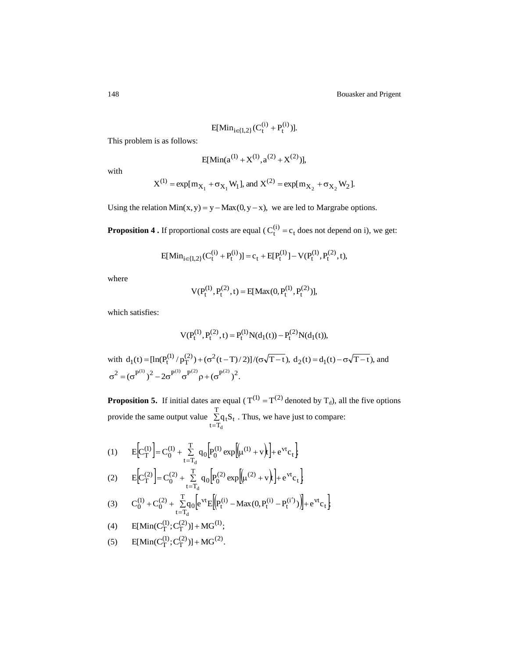$$
E[\text{Min}_{i\in\{1,2\}}(C_t^{(i)} + P_t^{(i)})].
$$

This problem is as follows:

$$
E[\text{Min}(a^{(1)} + X^{(1)}, a^{(2)} + X^{(2)})],
$$

with

$$
X^{(1)} = \exp[m_{X_1} + \sigma_{X_1} W_1]
$$
, and  $X^{(2)} = \exp[m_{X_2} + \sigma_{X_2} W_2]$ .

Using the relation  $Min(x, y) = y - Max(0, y - x)$ , we are led to Margrabe options.

**Proposition 4 .** If proportional costs are equal ( $C_t^{(i)} = c_t$  does not depend on i), we get:

$$
E[\text{Min}_{i\in\{1,2\}}(C_t^{(i)} + P_t^{(i)})] = c_t + E[P_t^{(1)}] - V(P_t^{(1)}, P_t^{(2)}, t),
$$

where

$$
V(P_t^{(1)}, P_t^{(2)}, t) = E[Max(0, P_t^{(1)}, P_t^{(2)})],
$$

which satisfies:

$$
V(P_t^{(1)}, P_t^{(2)}, t) = P_t^{(1)} N(d_1(t)) - P_t^{(2)} N(d_1(t)),
$$

with  $d_1(t) = [\ln(P_t^{(1)}/p_T^{(2)}) + (\sigma^2(t-T)/2)]/(\sigma\sqrt{T-t})$ ,  $d_2(t) = d_1(t) - \sigma\sqrt{T-t}$ , and  $\sigma^2 = (\sigma^{P^{(1)}})^2 - 2\sigma^{P^{(1)}}\sigma^{P^{(2)}}\rho + (\sigma^{P^{(2)}})^2.$ 

**Proposition 5.** If initial dates are equal ( $T^{(1)} = T^{(2)}$  denoted by  $T_d$ ), all the five options provide the same output value  $\Sigma$  $=$ T  $2q_tS_t$ <br>t=T<sub>d</sub> d  $q_t S_t$ . Thus, we have just to compare:

(1) 
$$
E\left[C_{T}^{(1)}\right] = C_{0}^{(1)} + \sum_{t=T_d}^{T} q_0 \left[P_{0}^{(1)} \exp\left[\left(\mu^{(1)} + v\right)\right] + e^{vt} c_t\right]
$$

(2) 
$$
E\left[C_1^{(2)}\right] = C_0^{(2)} + \sum_{t=T_d}^{T} q_0 \left[P_0^{(2)} \exp\left[(\mu^{(2)} + v\right)] + e^{vt} c_t\right]
$$

(3) 
$$
C_0^{(1)} + C_0^{(2)} + \sum_{t=T_d}^{T} q_0 \left[ e^{vt} E \left[ \left( P_t^{(i)} - Max(0, P_t^{(i)} - P_t^{(i')} ) \right) \right] + e^{vt} c_t \right]
$$

(4) 
$$
E[\text{Min}(C_T^{(1)}; C_T^{(2)})] + \text{MG}^{(1)};
$$

(5) 
$$
E[\text{Min}(C_T^{(1)}; C_T^{(2)})] + \text{MG}^{(2)}
$$
.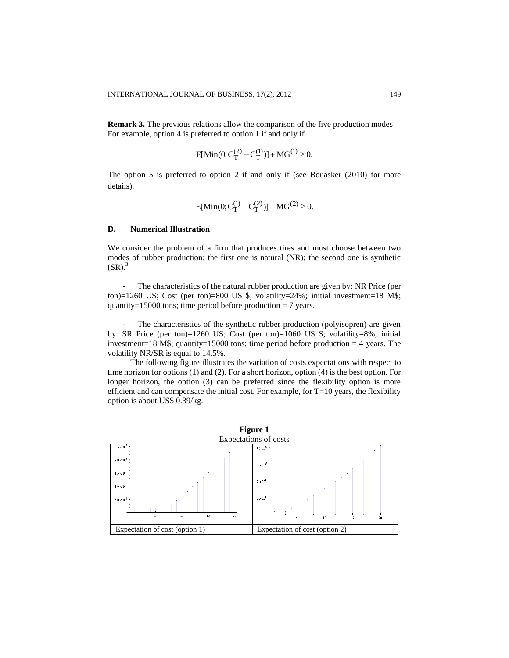**Remark 3.** The previous relations allow the comparison of the five production modes For example, option 4 is preferred to option 1 if and only if

$$
E[\text{Min}(0; C_T^{(2)} - C_T^{(1)})] + \text{MG}^{(1)} \ge 0.
$$

The option 5 is preferred to option 2 if and only if (see Bouasker (2010) for more details).

$$
E[\text{Min}(0; C_T^{(1)} - C_T^{(2)})] + \text{MG}^{(2)} \ge 0.
$$

## **D. Numerical Illustration**

We consider the problem of a firm that produces tires and must choose between two modes of rubber production: the first one is natural (NR); the second one is synthetic  $(SR).$ <sup>3</sup>

- The characteristics of the natural rubber production are given by: NR Price (per ton)=1260 US; Cost (per ton)=800 US  $\frac{24}{3}$ ; volatility=24%; initial investment=18 M $\frac{24}{3}$ ; quantity=15000 tons; time period before production  $= 7$  years.

The characteristics of the synthetic rubber production (polyisopren) are given by: SR Price (per ton)=1260 US; Cost (per ton)=1060 US \$; volatility=8%; initial investment=18 M\$; quantity=15000 tons; time period before production  $=$  4 years. The volatility NR/SR is equal to 14.5%.

The following figure illustrates the variation of costs expectations with respect to time horizon for options (1) and (2). For a short horizon, option (4) is the best option. For longer horizon, the option (3) can be preferred since the flexibility option is more efficient and can compensate the initial cost. For example, for  $T=10$  years, the flexibility option is about US\$ 0.39/kg.

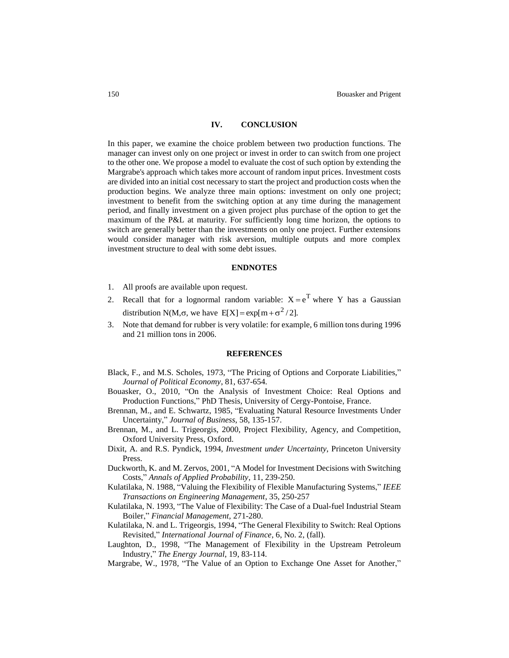## **IV. CONCLUSION**

In this paper, we examine the choice problem between two production functions. The manager can invest only on one project or invest in order to can switch from one project to the other one. We propose a model to evaluate the cost of such option by extending the Margrabe's approach which takes more account of random input prices. Investment costs are divided into an initial cost necessary to start the project and production costs when the production begins. We analyze three main options: investment on only one project; investment to benefit from the switching option at any time during the management period, and finally investment on a given project plus purchase of the option to get the maximum of the P&L at maturity. For sufficiently long time horizon, the options to switch are generally better than the investments on only one project. Further extensions would consider manager with risk aversion, multiple outputs and more complex investment structure to deal with some debt issues.

### **ENDNOTES**

- 1. All proofs are available upon request.
- 2. Recall that for a lognormal random variable:  $X = e^T$  where Y has a Gaussian distribution N(M, $\sigma$ , we have  $E[X] = exp[m + \sigma^2 / 2]$ .
- 3. Note that demand for rubber is very volatile: for example, 6 million tons during 1996 and 21 million tons in 2006.

#### **REFERENCES**

- Black, F., and M.S. Scholes, 1973, "The Pricing of Options and Corporate Liabilities," *Journal of Political Economy*, 81, 637-654.
- Bouasker, O., 2010, "On the Analysis of Investment Choice: Real Options and Production Functions," PhD Thesis, University of Cergy-Pontoise, France.
- Brennan, M., and E. Schwartz, 1985, "Evaluating Natural Resource Investments Under Uncertainty," *Journal of Business*, 58, 135-157.
- Brennan, M., and L. Trigeorgis, 2000, Project Flexibility, Agency, and Competition, Oxford University Press, Oxford.
- Dixit, A. and R.S. Pyndick, 1994, *Investment under Uncertainty*, Princeton University Press.
- Duckworth, K. and M. Zervos, 2001, "A Model for Investment Decisions with Switching Costs," *Annals of Applied Probability*, 11, 239-250.
- Kulatilaka, N. 1988, "Valuing the Flexibility of Flexible Manufacturing Systems," *IEEE Transactions on Engineering Management*, 35, 250-257
- Kulatilaka, N. 1993, "The Value of Flexibility: The Case of a Dual-fuel Industrial Steam Boiler," *Financial Management,* 271-280.
- Kulatilaka, N. and L. Trigeorgis, 1994, "The General Flexibility to Switch: Real Options Revisited," *International Journal of Finance*, 6, No. 2, (fall).
- Laughton, D., 1998, "The Management of Flexibility in the Upstream Petroleum Industry," *The Energy Journal*, 19, 83-114.
- Margrabe, W., 1978, "The Value of an Option to Exchange One Asset for Another,"